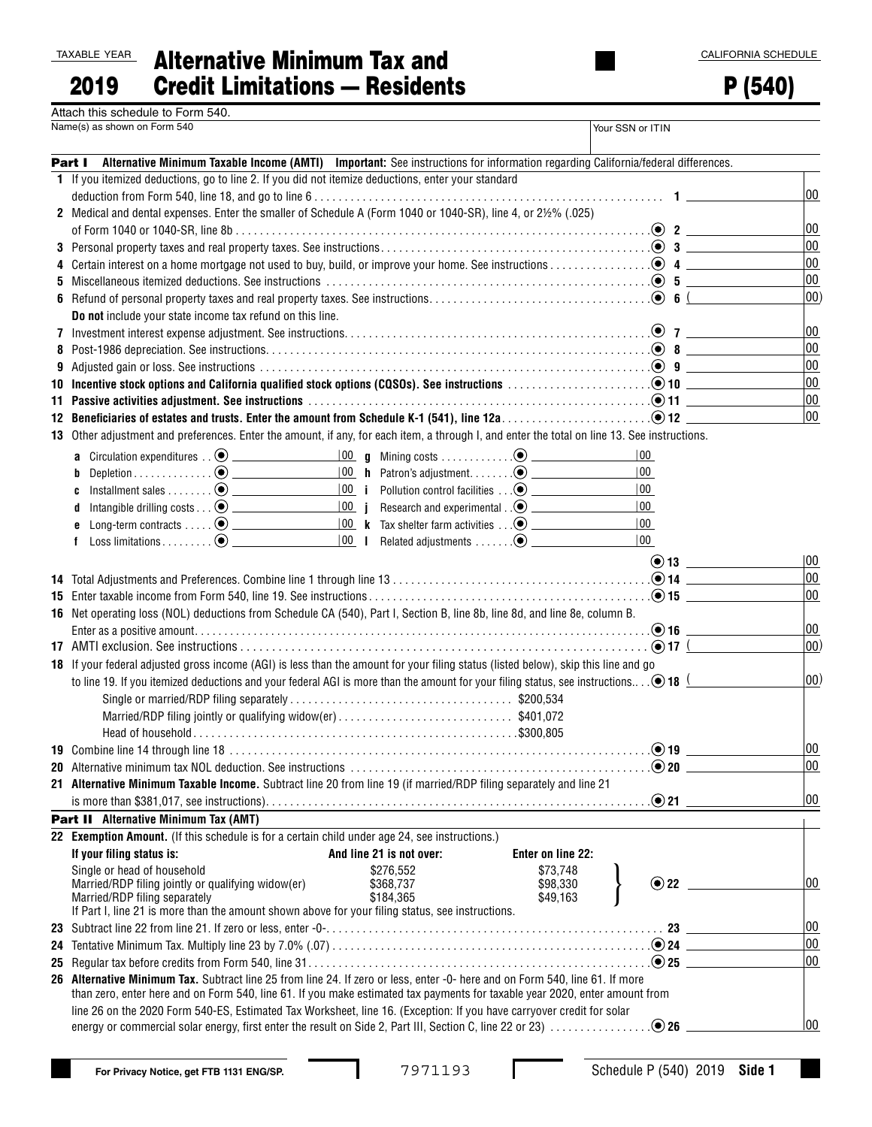| TAXABLE YEA |  |
|-------------|--|
|             |  |

## TAXABLE YEAR Alternative Minimum Tax and 2019 Credit Limitations — Residents

P (540)

Attach this schedule to Form 540.

|   | Name(s) as shown on Form 540                                                                                                                                                                                                                                                                     |                                    |                                                                             |                   | Your SSN or ITIN                                                      |              |  |  |
|---|--------------------------------------------------------------------------------------------------------------------------------------------------------------------------------------------------------------------------------------------------------------------------------------------------|------------------------------------|-----------------------------------------------------------------------------|-------------------|-----------------------------------------------------------------------|--------------|--|--|
|   | Part I Alternative Minimum Taxable Income (AMTI) Important: See instructions for information regarding California/federal differences.                                                                                                                                                           |                                    |                                                                             |                   |                                                                       |              |  |  |
|   | 1 If you itemized deductions, go to line 2. If you did not itemize deductions, enter your standard                                                                                                                                                                                               |                                    |                                                                             |                   |                                                                       |              |  |  |
|   |                                                                                                                                                                                                                                                                                                  |                                    |                                                                             |                   |                                                                       | $ 00\rangle$ |  |  |
|   | 2 Medical and dental expenses. Enter the smaller of Schedule A (Form 1040 or 1040-SR), line 4, or 21/2% (.025)                                                                                                                                                                                   |                                    |                                                                             |                   |                                                                       |              |  |  |
|   |                                                                                                                                                                                                                                                                                                  |                                    |                                                                             |                   |                                                                       | 00           |  |  |
|   |                                                                                                                                                                                                                                                                                                  |                                    |                                                                             |                   |                                                                       | 00           |  |  |
| 4 |                                                                                                                                                                                                                                                                                                  |                                    |                                                                             |                   |                                                                       | 00           |  |  |
| 5 |                                                                                                                                                                                                                                                                                                  |                                    |                                                                             |                   |                                                                       | 00           |  |  |
|   |                                                                                                                                                                                                                                                                                                  |                                    |                                                                             | $ 00\rangle$      |                                                                       |              |  |  |
|   | Do not include your state income tax refund on this line.                                                                                                                                                                                                                                        |                                    |                                                                             |                   |                                                                       |              |  |  |
|   |                                                                                                                                                                                                                                                                                                  |                                    |                                                                             |                   |                                                                       | 00           |  |  |
|   |                                                                                                                                                                                                                                                                                                  |                                    |                                                                             |                   |                                                                       | 00           |  |  |
| 9 |                                                                                                                                                                                                                                                                                                  |                                    |                                                                             |                   |                                                                       | 00           |  |  |
|   | 10 Incentive stock options and California qualified stock options (CQSOs). See instructions with the contraction of the control of the control of the control of the control of the control of the control of the control of t                                                                   |                                    |                                                                             |                   |                                                                       | 00           |  |  |
|   | 11 Passive activities adjustment. See instructions with an experiment control of the control of the control of the control of the control of the control of the control of the control of the control of the control of the co                                                                   |                                    |                                                                             |                   |                                                                       | 00           |  |  |
|   |                                                                                                                                                                                                                                                                                                  |                                    |                                                                             |                   |                                                                       | 00           |  |  |
|   | 13 Other adjustment and preferences. Enter the amount, if any, for each item, a through I, and enter the total on line 13. See instructions.                                                                                                                                                     |                                    |                                                                             |                   |                                                                       |              |  |  |
|   | $Circulation$ expenditures $\ldots$ $\bigcirc$ $\_\_$<br>a                                                                                                                                                                                                                                       |                                    |                                                                             |                   | 00                                                                    |              |  |  |
|   | b                                                                                                                                                                                                                                                                                                |                                    |                                                                             |                   | 00                                                                    |              |  |  |
|   | C                                                                                                                                                                                                                                                                                                |                                    | 100 i Pollution control facilities $\odot$ ________________________________ |                   | 00                                                                    |              |  |  |
|   | Intangible drilling costs $\ldots$ $\bigcirc$ $\_\_$<br>d                                                                                                                                                                                                                                        |                                    |                                                                             |                   | $ 00\rangle$                                                          |              |  |  |
|   | e                                                                                                                                                                                                                                                                                                |                                    |                                                                             |                   | 100                                                                   |              |  |  |
|   |                                                                                                                                                                                                                                                                                                  | $\begin{array}{cc} 00 \end{array}$ |                                                                             |                   | 100                                                                   |              |  |  |
|   |                                                                                                                                                                                                                                                                                                  |                                    |                                                                             |                   |                                                                       |              |  |  |
|   |                                                                                                                                                                                                                                                                                                  |                                    |                                                                             |                   |                                                                       | 00<br> 00    |  |  |
|   |                                                                                                                                                                                                                                                                                                  |                                    |                                                                             |                   |                                                                       | 00           |  |  |
|   |                                                                                                                                                                                                                                                                                                  |                                    |                                                                             |                   |                                                                       |              |  |  |
|   | 16 Net operating loss (NOL) deductions from Schedule CA (540), Part I, Section B, line 8b, line 8d, and line 8e, column B.                                                                                                                                                                       |                                    |                                                                             |                   |                                                                       | 00           |  |  |
|   |                                                                                                                                                                                                                                                                                                  |                                    |                                                                             |                   |                                                                       | $ 00\rangle$ |  |  |
|   |                                                                                                                                                                                                                                                                                                  |                                    |                                                                             |                   |                                                                       |              |  |  |
|   | 18 If your federal adjusted gross income (AGI) is less than the amount for your filing status (listed below), skip this line and go<br>$ 00\rangle$<br>to line 19. If you itemized deductions and your federal AGI is more than the amount for your filing status, see instructions $\bullet$ 18 |                                    |                                                                             |                   |                                                                       |              |  |  |
|   |                                                                                                                                                                                                                                                                                                  |                                    |                                                                             |                   |                                                                       |              |  |  |
|   | Married/RDP filing jointly or qualifying widow(er)\$401,072                                                                                                                                                                                                                                      |                                    |                                                                             |                   |                                                                       |              |  |  |
|   |                                                                                                                                                                                                                                                                                                  |                                    |                                                                             |                   |                                                                       |              |  |  |
|   |                                                                                                                                                                                                                                                                                                  |                                    |                                                                             |                   | $\overline{\textcircled{\circ}}$ 19 $\hspace{1.5cm}$ $\hspace{1.5cm}$ | 00           |  |  |
|   |                                                                                                                                                                                                                                                                                                  |                                    |                                                                             |                   |                                                                       | $ 00\rangle$ |  |  |
|   | 21 Alternative Minimum Taxable Income. Subtract line 20 from line 19 (if married/RDP filing separately and line 21                                                                                                                                                                               |                                    |                                                                             |                   |                                                                       |              |  |  |
|   |                                                                                                                                                                                                                                                                                                  |                                    |                                                                             |                   |                                                                       | 00           |  |  |
|   | Part II Alternative Minimum Tax (AMT)                                                                                                                                                                                                                                                            |                                    |                                                                             |                   |                                                                       |              |  |  |
|   | 22 Exemption Amount. (If this schedule is for a certain child under age 24, see instructions.)                                                                                                                                                                                                   |                                    |                                                                             |                   |                                                                       |              |  |  |
|   | If your filing status is:                                                                                                                                                                                                                                                                        |                                    | And line 21 is not over:                                                    | Enter on line 22: |                                                                       |              |  |  |
|   | Single or head of household                                                                                                                                                                                                                                                                      |                                    | \$276,552                                                                   | \$73.748          |                                                                       |              |  |  |
|   | Married/RDP filing jointly or qualifying widow(er)                                                                                                                                                                                                                                               |                                    | \$368,737                                                                   | \$98,330          | $\odot$ 22 $\_$                                                       | 00           |  |  |
|   | Married/RDP filing separately                                                                                                                                                                                                                                                                    |                                    | \$184,365                                                                   | \$49,163          |                                                                       |              |  |  |
|   | If Part I, line 21 is more than the amount shown above for your filing status, see instructions.                                                                                                                                                                                                 |                                    |                                                                             |                   |                                                                       |              |  |  |
|   |                                                                                                                                                                                                                                                                                                  |                                    |                                                                             |                   |                                                                       | $ 00\rangle$ |  |  |
|   |                                                                                                                                                                                                                                                                                                  |                                    |                                                                             |                   |                                                                       | 00           |  |  |
|   |                                                                                                                                                                                                                                                                                                  |                                    |                                                                             |                   |                                                                       | 00           |  |  |
|   | 26 Alternative Minimum Tax. Subtract line 25 from line 24. If zero or less, enter -0- here and on Form 540, line 61. If more                                                                                                                                                                     |                                    |                                                                             |                   |                                                                       |              |  |  |
|   | than zero, enter here and on Form 540, line 61. If you make estimated tax payments for taxable year 2020, enter amount from<br>line 26 on the 2020 Form 540-ES, Estimated Tax Worksheet, line 16. (Exception: If you have carryover credit for solar                                             |                                    |                                                                             |                   |                                                                       |              |  |  |
|   |                                                                                                                                                                                                                                                                                                  |                                    |                                                                             |                   |                                                                       | $ 00\rangle$ |  |  |
|   |                                                                                                                                                                                                                                                                                                  |                                    |                                                                             |                   |                                                                       |              |  |  |